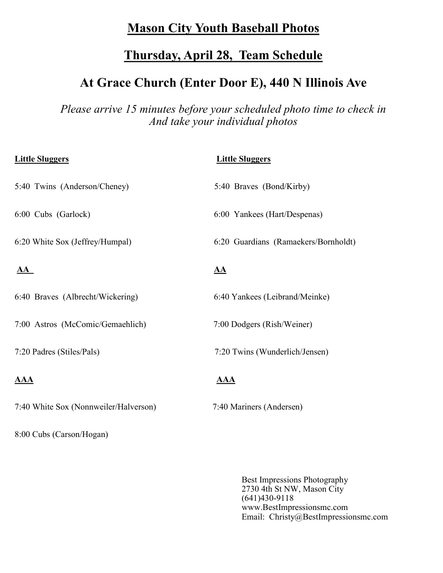### **Mason City Youth Baseball Photos**

## **Thursday, April 28, Team Schedule**

# **At Grace Church (Enter Door E), 440 N Illinois Ave**

*Please arrive 15 minutes before your scheduled photo time to check in And take your individual photos*

| <b>Little Sluggers</b>                | <b>Little Sluggers</b>               |
|---------------------------------------|--------------------------------------|
| 5:40 Twins (Anderson/Cheney)          | 5:40 Braves (Bond/Kirby)             |
| 6:00 Cubs (Garlock)                   | 6:00 Yankees (Hart/Despenas)         |
| 6:20 White Sox (Jeffrey/Humpal)       | 6:20 Guardians (Ramaekers/Bornholdt) |
| ${\bf AA}$                            | <u>AA</u>                            |
| 6:40 Braves (Albrecht/Wickering)      | 6:40 Yankees (Leibrand/Meinke)       |
| 7:00 Astros (McComic/Gemaehlich)      | 7:00 Dodgers (Rish/Weiner)           |
| 7:20 Padres (Stiles/Pals)             | 7:20 Twins (Wunderlich/Jensen)       |
| $\overline{AAA}$                      | <b>AAA</b>                           |
| 7:40 White Sox (Nonnweiler/Halverson) | 7:40 Mariners (Andersen)             |

8:00 Cubs (Carson/Hogan)

Best Impressions Photography 2730 4th St NW, Mason City (641)430-9118 www.BestImpressionsmc.com Email: Christy@BestImpressionsmc.com